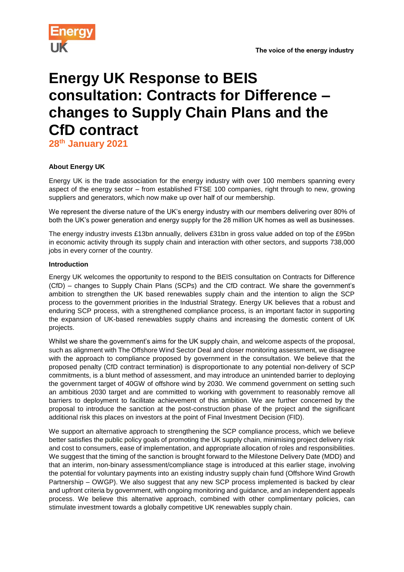

# **Energy UK Response to BEIS consultation: Contracts for Difference – changes to Supply Chain Plans and the CfD contract**

**28th January 2021**

## **About Energy UK**

Energy UK is the trade association for the energy industry with over 100 members spanning every aspect of the energy sector – from established FTSE 100 companies, right through to new, growing suppliers and generators, which now make up over half of our membership.

We represent the diverse nature of the UK's energy industry with our members delivering over 80% of both the UK's power generation and energy supply for the 28 million UK homes as well as businesses.

The energy industry invests £13bn annually, delivers £31bn in gross value added on top of the £95bn in economic activity through its supply chain and interaction with other sectors, and supports 738,000 jobs in every corner of the country.

## **Introduction**

Energy UK welcomes the opportunity to respond to the BEIS consultation on Contracts for Difference (CfD) – changes to Supply Chain Plans (SCPs) and the CfD contract. We share the government's ambition to strengthen the UK based renewables supply chain and the intention to align the SCP process to the government priorities in the Industrial Strategy. Energy UK believes that a robust and enduring SCP process, with a strengthened compliance process, is an important factor in supporting the expansion of UK-based renewables supply chains and increasing the domestic content of UK projects.

Whilst we share the government's aims for the UK supply chain, and welcome aspects of the proposal, such as alignment with The Offshore Wind Sector Deal and closer monitoring assessment, we disagree with the approach to compliance proposed by government in the consultation. We believe that the proposed penalty (CfD contract termination) is disproportionate to any potential non-delivery of SCP commitments, is a blunt method of assessment, and may introduce an unintended barrier to deploying the government target of 40GW of offshore wind by 2030. We commend government on setting such an ambitious 2030 target and are committed to working with government to reasonably remove all barriers to deployment to facilitate achievement of this ambition. We are further concerned by the proposal to introduce the sanction at the post-construction phase of the project and the significant additional risk this places on investors at the point of Final Investment Decision (FID).

We support an alternative approach to strengthening the SCP compliance process, which we believe better satisfies the public policy goals of promoting the UK supply chain, minimising project delivery risk and cost to consumers, ease of implementation, and appropriate allocation of roles and responsibilities. We suggest that the timing of the sanction is brought forward to the Milestone Delivery Date (MDD) and that an interim, non-binary assessment/compliance stage is introduced at this earlier stage, involving the potential for voluntary payments into an existing industry supply chain fund (Offshore Wind Growth Partnership – OWGP). We also suggest that any new SCP process implemented is backed by clear and upfront criteria by government, with ongoing monitoring and guidance, and an independent appeals process. We believe this alternative approach, combined with other complimentary policies, can stimulate investment towards a globally competitive UK renewables supply chain.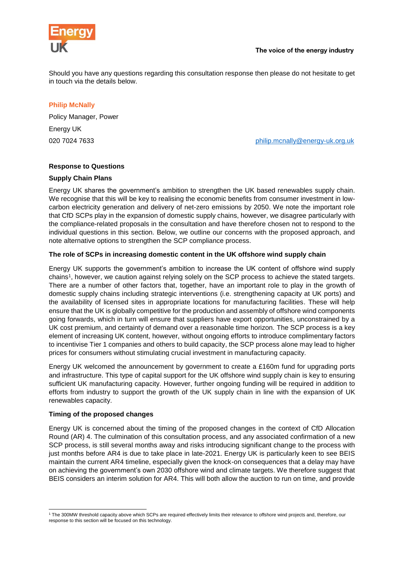

Should you have any questions regarding this consultation response then please do not hesitate to get in touch via the details below.

## **Philip McNally**

Policy Manager, Power Energy UK

020 7024 7633 [philip.mcnally@energy-uk.org.uk](mailto:philip.mcnally@energy-uk.org.uk)

#### **Response to Questions**

#### **Supply Chain Plans**

Energy UK shares the government's ambition to strengthen the UK based renewables supply chain. We recognise that this will be key to realising the economic benefits from consumer investment in lowcarbon electricity generation and delivery of net-zero emissions by 2050. We note the important role that CfD SCPs play in the expansion of domestic supply chains, however, we disagree particularly with the compliance-related proposals in the consultation and have therefore chosen not to respond to the individual questions in this section. Below, we outline our concerns with the proposed approach, and note alternative options to strengthen the SCP compliance process.

## **The role of SCPs in increasing domestic content in the UK offshore wind supply chain**

Energy UK supports the government's ambition to increase the UK content of offshore wind supply chains<sup>1</sup> , however, we caution against relying solely on the SCP process to achieve the stated targets. There are a number of other factors that, together, have an important role to play in the growth of domestic supply chains including strategic interventions (i.e. strengthening capacity at UK ports) and the availability of licensed sites in appropriate locations for manufacturing facilities. These will help ensure that the UK is globally competitive for the production and assembly of offshore wind components going forwards, which in turn will ensure that suppliers have export opportunities, unconstrained by a UK cost premium, and certainty of demand over a reasonable time horizon. The SCP process is a key element of increasing UK content, however, without ongoing efforts to introduce complimentary factors to incentivise Tier 1 companies and others to build capacity, the SCP process alone may lead to higher prices for consumers without stimulating crucial investment in manufacturing capacity.

Energy UK welcomed the announcement by government to create a £160m fund for upgrading ports and infrastructure. This type of capital support for the UK offshore wind supply chain is key to ensuring sufficient UK manufacturing capacity. However, further ongoing funding will be required in addition to efforts from industry to support the growth of the UK supply chain in line with the expansion of UK renewables capacity.

#### **Timing of the proposed changes**

Energy UK is concerned about the timing of the proposed changes in the context of CfD Allocation Round (AR) 4. The culmination of this consultation process, and any associated confirmation of a new SCP process, is still several months away and risks introducing significant change to the process with just months before AR4 is due to take place in late-2021. Energy UK is particularly keen to see BEIS maintain the current AR4 timeline, especially given the knock-on consequences that a delay may have on achieving the government's own 2030 offshore wind and climate targets. We therefore suggest that BEIS considers an interim solution for AR4. This will both allow the auction to run on time, and provide

<sup>1</sup> <sup>1</sup> The 300MW threshold capacity above which SCPs are required effectively limits their relevance to offshore wind projects and, therefore, our response to this section will be focused on this technology.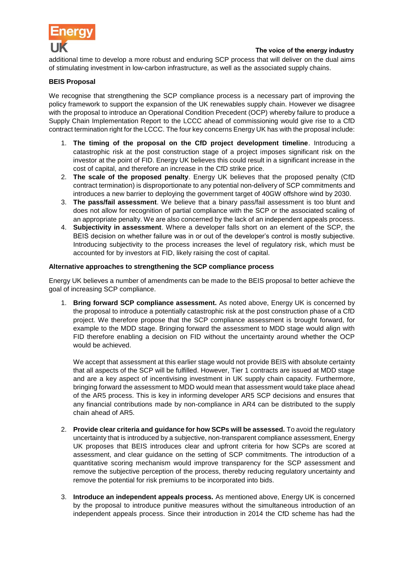

additional time to develop a more robust and enduring SCP process that will deliver on the dual aims of stimulating investment in low-carbon infrastructure, as well as the associated supply chains.

## **BEIS Proposal**

We recognise that strengthening the SCP compliance process is a necessary part of improving the policy framework to support the expansion of the UK renewables supply chain. However we disagree with the proposal to introduce an Operational Condition Precedent (OCP) whereby failure to produce a Supply Chain Implementation Report to the LCCC ahead of commissioning would give rise to a CfD contract termination right for the LCCC. The four key concerns Energy UK has with the proposal include:

- 1. **The timing of the proposal on the CfD project development timeline**. Introducing a catastrophic risk at the post construction stage of a project imposes significant risk on the investor at the point of FID. Energy UK believes this could result in a significant increase in the cost of capital, and therefore an increase in the CfD strike price.
- 2. **The scale of the proposed penalty**. Energy UK believes that the proposed penalty (CfD contract termination) is disproportionate to any potential non-delivery of SCP commitments and introduces a new barrier to deploying the government target of 40GW offshore wind by 2030.
- 3. **The pass/fail assessment**. We believe that a binary pass/fail assessment is too blunt and does not allow for recognition of partial compliance with the SCP or the associated scaling of an appropriate penalty. We are also concerned by the lack of an independent appeals process.
- 4. **Subjectivity in assessment**. Where a developer falls short on an element of the SCP, the BEIS decision on whether failure was in or out of the developer's control is mostly subjective. Introducing subjectivity to the process increases the level of regulatory risk, which must be accounted for by investors at FID, likely raising the cost of capital.

#### **Alternative approaches to strengthening the SCP compliance process**

Energy UK believes a number of amendments can be made to the BEIS proposal to better achieve the goal of increasing SCP compliance.

1. **Bring forward SCP compliance assessment.** As noted above, Energy UK is concerned by the proposal to introduce a potentially catastrophic risk at the post construction phase of a CfD project. We therefore propose that the SCP compliance assessment is brought forward, for example to the MDD stage. Bringing forward the assessment to MDD stage would align with FID therefore enabling a decision on FID without the uncertainty around whether the OCP would be achieved.

We accept that assessment at this earlier stage would not provide BEIS with absolute certainty that all aspects of the SCP will be fulfilled. However, Tier 1 contracts are issued at MDD stage and are a key aspect of incentivising investment in UK supply chain capacity. Furthermore, bringing forward the assessment to MDD would mean that assessment would take place ahead of the AR5 process. This is key in informing developer AR5 SCP decisions and ensures that any financial contributions made by non-compliance in AR4 can be distributed to the supply chain ahead of AR5.

- 2. **Provide clear criteria and guidance for how SCPs will be assessed.** To avoid the regulatory uncertainty that is introduced by a subjective, non-transparent compliance assessment, Energy UK proposes that BEIS introduces clear and upfront criteria for how SCPs are scored at assessment, and clear guidance on the setting of SCP commitments. The introduction of a quantitative scoring mechanism would improve transparency for the SCP assessment and remove the subjective perception of the process, thereby reducing regulatory uncertainty and remove the potential for risk premiums to be incorporated into bids.
- 3. **Introduce an independent appeals process.** As mentioned above, Energy UK is concerned by the proposal to introduce punitive measures without the simultaneous introduction of an independent appeals process. Since their introduction in 2014 the CfD scheme has had the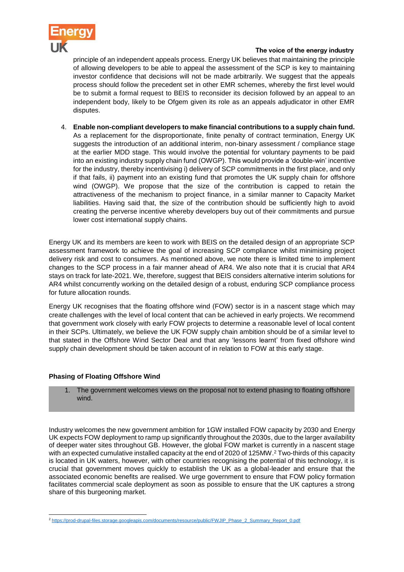

#### The voice of the energy industry

principle of an independent appeals process. Energy UK believes that maintaining the principle of allowing developers to be able to appeal the assessment of the SCP is key to maintaining investor confidence that decisions will not be made arbitrarily. We suggest that the appeals process should follow the precedent set in other EMR schemes, whereby the first level would be to submit a formal request to BEIS to reconsider its decision followed by an appeal to an independent body, likely to be Ofgem given its role as an appeals adjudicator in other EMR disputes.

4. **Enable non-compliant developers to make financial contributions to a supply chain fund.** As a replacement for the disproportionate, finite penalty of contract termination, Energy UK suggests the introduction of an additional interim, non-binary assessment / compliance stage at the earlier MDD stage. This would involve the potential for voluntary payments to be paid into an existing industry supply chain fund (OWGP). This would provide a 'double-win' incentive for the industry, thereby incentivising i) delivery of SCP commitments in the first place, and only if that fails, ii) payment into an existing fund that promotes the UK supply chain for offshore wind (OWGP). We propose that the size of the contribution is capped to retain the attractiveness of the mechanism to project finance, in a similar manner to Capacity Market liabilities. Having said that, the size of the contribution should be sufficiently high to avoid creating the perverse incentive whereby developers buy out of their commitments and pursue lower cost international supply chains.

Energy UK and its members are keen to work with BEIS on the detailed design of an appropriate SCP assessment framework to achieve the goal of increasing SCP compliance whilst minimising project delivery risk and cost to consumers. As mentioned above, we note there is limited time to implement changes to the SCP process in a fair manner ahead of AR4. We also note that it is crucial that AR4 stays on track for late-2021. We, therefore, suggest that BEIS considers alternative interim solutions for AR4 whilst concurrently working on the detailed design of a robust, enduring SCP compliance process for future allocation rounds.

Energy UK recognises that the floating offshore wind (FOW) sector is in a nascent stage which may create challenges with the level of local content that can be achieved in early projects. We recommend that government work closely with early FOW projects to determine a reasonable level of local content in their SCPs. Ultimately, we believe the UK FOW supply chain ambition should be of a similar level to that stated in the Offshore Wind Sector Deal and that any 'lessons learnt' from fixed offshore wind supply chain development should be taken account of in relation to FOW at this early stage.

## **Phasing of Floating Offshore Wind**

1. The government welcomes views on the proposal not to extend phasing to floating offshore wind.

Industry welcomes the new government ambition for 1GW installed FOW capacity by 2030 and Energy UK expects FOW deployment to ramp up significantly throughout the 2030s, due to the larger availability of deeper water sites throughout GB. However, the global FOW market is currently in a nascent stage with an expected cumulative installed capacity at the end of 2020 of 125MW.<sup>2</sup> Two-thirds of this capacity is located in UK waters, however, with other countries recognising the potential of this technology, it is crucial that government moves quickly to establish the UK as a global-leader and ensure that the associated economic benefits are realised. We urge government to ensure that FOW policy formation facilitates commercial scale deployment as soon as possible to ensure that the UK captures a strong share of this burgeoning market.

<sup>-</sup><sup>2</sup> [https://prod-drupal-files.storage.googleapis.com/documents/resource/public/FWJIP\\_Phase\\_2\\_Summary\\_Report\\_0.pdf](https://prod-drupal-files.storage.googleapis.com/documents/resource/public/FWJIP_Phase_2_Summary_Report_0.pdf)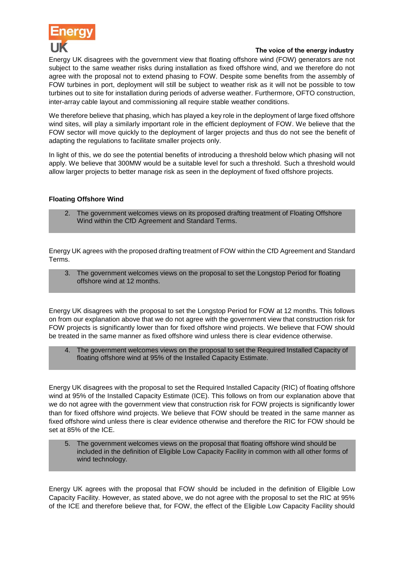

#### The voice of the energy industry

Energy UK disagrees with the government view that floating offshore wind (FOW) generators are not subject to the same weather risks during installation as fixed offshore wind, and we therefore do not agree with the proposal not to extend phasing to FOW. Despite some benefits from the assembly of FOW turbines in port, deployment will still be subject to weather risk as it will not be possible to tow turbines out to site for installation during periods of adverse weather. Furthermore, OFTO construction, inter-array cable layout and commissioning all require stable weather conditions.

We therefore believe that phasing, which has played a key role in the deployment of large fixed offshore wind sites, will play a similarly important role in the efficient deployment of FOW. We believe that the FOW sector will move quickly to the deployment of larger projects and thus do not see the benefit of adapting the regulations to facilitate smaller projects only.

In light of this, we do see the potential benefits of introducing a threshold below which phasing will not apply. We believe that 300MW would be a suitable level for such a threshold. Such a threshold would allow larger projects to better manage risk as seen in the deployment of fixed offshore projects.

## **Floating Offshore Wind**

2. The government welcomes views on its proposed drafting treatment of Floating Offshore Wind within the CfD Agreement and Standard Terms.

Energy UK agrees with the proposed drafting treatment of FOW within the CfD Agreement and Standard Terms.

3. The government welcomes views on the proposal to set the Longstop Period for floating offshore wind at 12 months.

Energy UK disagrees with the proposal to set the Longstop Period for FOW at 12 months. This follows on from our explanation above that we do not agree with the government view that construction risk for FOW projects is significantly lower than for fixed offshore wind projects. We believe that FOW should be treated in the same manner as fixed offshore wind unless there is clear evidence otherwise.

4. The government welcomes views on the proposal to set the Required Installed Capacity of floating offshore wind at 95% of the Installed Capacity Estimate.

Energy UK disagrees with the proposal to set the Required Installed Capacity (RIC) of floating offshore wind at 95% of the Installed Capacity Estimate (ICE). This follows on from our explanation above that we do not agree with the government view that construction risk for FOW projects is significantly lower than for fixed offshore wind projects. We believe that FOW should be treated in the same manner as fixed offshore wind unless there is clear evidence otherwise and therefore the RIC for FOW should be set at 85% of the ICE.

5. The government welcomes views on the proposal that floating offshore wind should be included in the definition of Eligible Low Capacity Facility in common with all other forms of wind technology.

Energy UK agrees with the proposal that FOW should be included in the definition of Eligible Low Capacity Facility. However, as stated above, we do not agree with the proposal to set the RIC at 95% of the ICE and therefore believe that, for FOW, the effect of the Eligible Low Capacity Facility should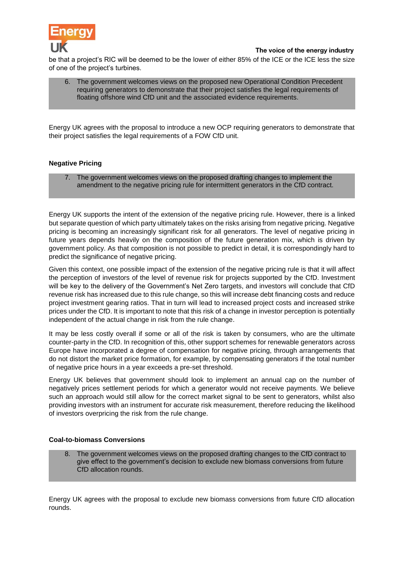

The voice of the energy industry

be that a project's RIC will be deemed to be the lower of either 85% of the ICE or the ICE less the size of one of the project's turbines.

| 6. The government welcomes views on the proposed new Operational Condition Precedent       |
|--------------------------------------------------------------------------------------------|
| requiring generators to demonstrate that their project satisfies the legal requirements of |
| floating offshore wind CfD unit and the associated evidence requirements.                  |

Energy UK agrees with the proposal to introduce a new OCP requiring generators to demonstrate that their project satisfies the legal requirements of a FOW CfD unit.

## **Negative Pricing**

7. The government welcomes views on the proposed drafting changes to implement the amendment to the negative pricing rule for intermittent generators in the CfD contract.

Energy UK supports the intent of the extension of the negative pricing rule. However, there is a linked but separate question of which party ultimately takes on the risks arising from negative pricing. Negative pricing is becoming an increasingly significant risk for all generators. The level of negative pricing in future years depends heavily on the composition of the future generation mix, which is driven by government policy. As that composition is not possible to predict in detail, it is correspondingly hard to predict the significance of negative pricing.

Given this context, one possible impact of the extension of the negative pricing rule is that it will affect the perception of investors of the level of revenue risk for projects supported by the CfD. Investment will be key to the delivery of the Government's Net Zero targets, and investors will conclude that CfD revenue risk has increased due to this rule change, so this will increase debt financing costs and reduce project investment gearing ratios. That in turn will lead to increased project costs and increased strike prices under the CfD. It is important to note that this risk of a change in investor perception is potentially independent of the actual change in risk from the rule change.

It may be less costly overall if some or all of the risk is taken by consumers, who are the ultimate counter-party in the CfD. In recognition of this, other support schemes for renewable generators across Europe have incorporated a degree of compensation for negative pricing, through arrangements that do not distort the market price formation, for example, by compensating generators if the total number of negative price hours in a year exceeds a pre-set threshold.

Energy UK believes that government should look to implement an annual cap on the number of negatively prices settlement periods for which a generator would not receive payments. We believe such an approach would still allow for the correct market signal to be sent to generators, whilst also providing investors with an instrument for accurate risk measurement, therefore reducing the likelihood of investors overpricing the risk from the rule change.

#### **Coal-to-biomass Conversions**

8. The government welcomes views on the proposed drafting changes to the CfD contract to give effect to the government's decision to exclude new biomass conversions from future CfD allocation rounds.

Energy UK agrees with the proposal to exclude new biomass conversions from future CfD allocation rounds.